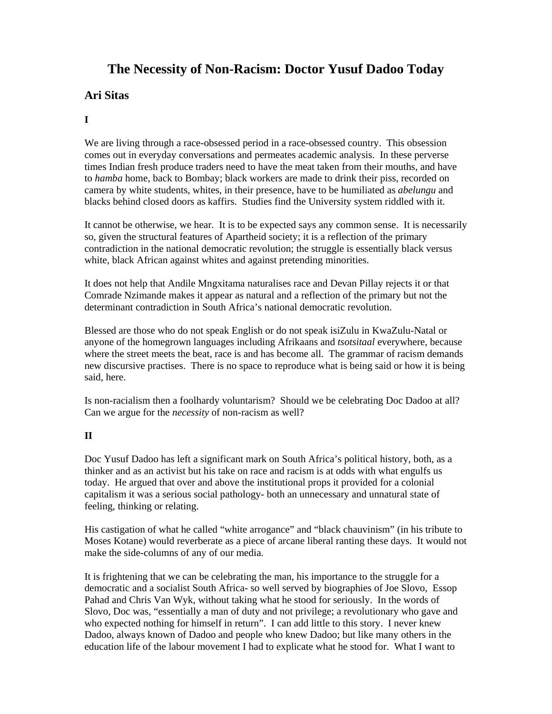# **The Necessity of Non-Racism: Doctor Yusuf Dadoo Today**

## **Ari Sitas**

### **I**

We are living through a race-obsessed period in a race-obsessed country. This obsession comes out in everyday conversations and permeates academic analysis. In these perverse times Indian fresh produce traders need to have the meat taken from their mouths, and have to *hamba* home, back to Bombay; black workers are made to drink their piss, recorded on camera by white students, whites, in their presence, have to be humiliated as *abelungu* and blacks behind closed doors as kaffirs. Studies find the University system riddled with it.

It cannot be otherwise, we hear. It is to be expected says any common sense. It is necessarily so, given the structural features of Apartheid society; it is a reflection of the primary contradiction in the national democratic revolution; the struggle is essentially black versus white, black African against whites and against pretending minorities.

It does not help that Andile Mngxitama naturalises race and Devan Pillay rejects it or that Comrade Nzimande makes it appear as natural and a reflection of the primary but not the determinant contradiction in South Africa's national democratic revolution.

Blessed are those who do not speak English or do not speak isiZulu in KwaZulu-Natal or anyone of the homegrown languages including Afrikaans and *tsotsitaal* everywhere, because where the street meets the beat, race is and has become all. The grammar of racism demands new discursive practises. There is no space to reproduce what is being said or how it is being said, here.

Is non-racialism then a foolhardy voluntarism? Should we be celebrating Doc Dadoo at all? Can we argue for the *necessity* of non-racism as well?

#### **II**

Doc Yusuf Dadoo has left a significant mark on South Africa's political history, both, as a thinker and as an activist but his take on race and racism is at odds with what engulfs us today. He argued that over and above the institutional props it provided for a colonial capitalism it was a serious social pathology- both an unnecessary and unnatural state of feeling, thinking or relating.

His castigation of what he called "white arrogance" and "black chauvinism" (in his tribute to Moses Kotane) would reverberate as a piece of arcane liberal ranting these days. It would not make the side-columns of any of our media.

It is frightening that we can be celebrating the man, his importance to the struggle for a democratic and a socialist South Africa- so well served by biographies of Joe Slovo, Essop Pahad and Chris Van Wyk, without taking what he stood for seriously. In the words of Slovo, Doc was, "essentially a man of duty and not privilege; a revolutionary who gave and who expected nothing for himself in return". I can add little to this story. I never knew Dadoo, always known of Dadoo and people who knew Dadoo; but like many others in the education life of the labour movement I had to explicate what he stood for. What I want to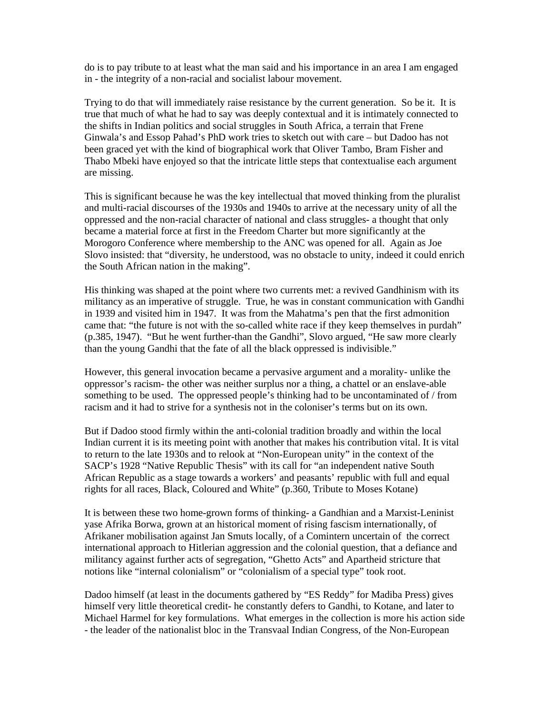do is to pay tribute to at least what the man said and his importance in an area I am engaged in - the integrity of a non-racial and socialist labour movement.

Trying to do that will immediately raise resistance by the current generation. So be it. It is true that much of what he had to say was deeply contextual and it is intimately connected to the shifts in Indian politics and social struggles in South Africa, a terrain that Frene Ginwala's and Essop Pahad's PhD work tries to sketch out with care – but Dadoo has not been graced yet with the kind of biographical work that Oliver Tambo, Bram Fisher and Thabo Mbeki have enjoyed so that the intricate little steps that contextualise each argument are missing.

This is significant because he was the key intellectual that moved thinking from the pluralist and multi-racial discourses of the 1930s and 1940s to arrive at the necessary unity of all the oppressed and the non-racial character of national and class struggles- a thought that only became a material force at first in the Freedom Charter but more significantly at the Morogoro Conference where membership to the ANC was opened for all. Again as Joe Slovo insisted: that "diversity, he understood, was no obstacle to unity, indeed it could enrich the South African nation in the making".

His thinking was shaped at the point where two currents met: a revived Gandhinism with its militancy as an imperative of struggle. True, he was in constant communication with Gandhi in 1939 and visited him in 1947. It was from the Mahatma's pen that the first admonition came that: "the future is not with the so-called white race if they keep themselves in purdah" (p.385, 1947). "But he went further-than the Gandhi", Slovo argued, "He saw more clearly than the young Gandhi that the fate of all the black oppressed is indivisible."

However, this general invocation became a pervasive argument and a morality- unlike the oppressor's racism- the other was neither surplus nor a thing, a chattel or an enslave-able something to be used. The oppressed people's thinking had to be uncontaminated of / from racism and it had to strive for a synthesis not in the coloniser's terms but on its own.

But if Dadoo stood firmly within the anti-colonial tradition broadly and within the local Indian current it is its meeting point with another that makes his contribution vital. It is vital to return to the late 1930s and to relook at "Non-European unity" in the context of the SACP's 1928 "Native Republic Thesis" with its call for "an independent native South African Republic as a stage towards a workers' and peasants' republic with full and equal rights for all races, Black, Coloured and White" (p.360, Tribute to Moses Kotane)

It is between these two home-grown forms of thinking- a Gandhian and a Marxist-Leninist yase Afrika Borwa, grown at an historical moment of rising fascism internationally, of Afrikaner mobilisation against Jan Smuts locally, of a Comintern uncertain of the correct international approach to Hitlerian aggression and the colonial question, that a defiance and militancy against further acts of segregation, "Ghetto Acts" and Apartheid stricture that notions like "internal colonialism" or "colonialism of a special type" took root.

Dadoo himself (at least in the documents gathered by "ES Reddy" for Madiba Press) gives himself very little theoretical credit- he constantly defers to Gandhi, to Kotane, and later to Michael Harmel for key formulations. What emerges in the collection is more his action side - the leader of the nationalist bloc in the Transvaal Indian Congress, of the Non-European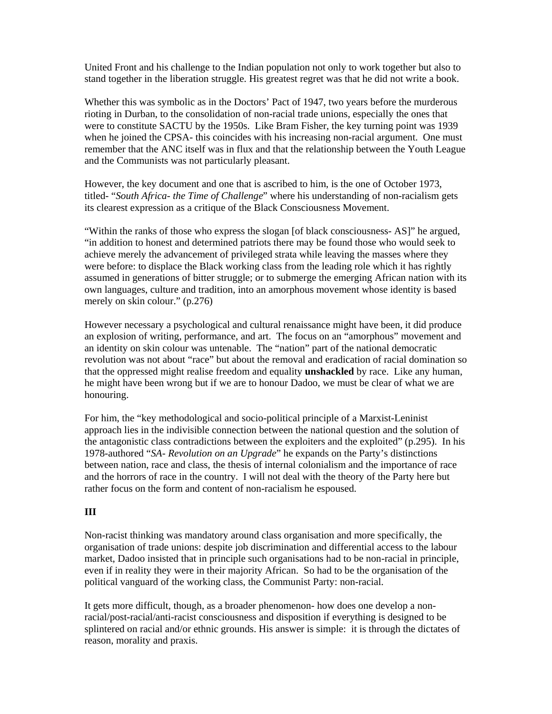United Front and his challenge to the Indian population not only to work together but also to stand together in the liberation struggle. His greatest regret was that he did not write a book.

Whether this was symbolic as in the Doctors' Pact of 1947, two years before the murderous rioting in Durban, to the consolidation of non-racial trade unions, especially the ones that were to constitute SACTU by the 1950s. Like Bram Fisher, the key turning point was 1939 when he joined the CPSA- this coincides with his increasing non-racial argument. One must remember that the ANC itself was in flux and that the relationship between the Youth League and the Communists was not particularly pleasant.

However, the key document and one that is ascribed to him, is the one of October 1973, titled- "*South Africa- the Time of Challenge*" where his understanding of non-racialism gets its clearest expression as a critique of the Black Consciousness Movement.

"Within the ranks of those who express the slogan [of black consciousness- AS]" he argued, "in addition to honest and determined patriots there may be found those who would seek to achieve merely the advancement of privileged strata while leaving the masses where they were before: to displace the Black working class from the leading role which it has rightly assumed in generations of bitter struggle; or to submerge the emerging African nation with its own languages, culture and tradition, into an amorphous movement whose identity is based merely on skin colour." (p.276)

However necessary a psychological and cultural renaissance might have been, it did produce an explosion of writing, performance, and art. The focus on an "amorphous" movement and an identity on skin colour was untenable. The "nation" part of the national democratic revolution was not about "race" but about the removal and eradication of racial domination so that the oppressed might realise freedom and equality **unshackled** by race. Like any human, he might have been wrong but if we are to honour Dadoo, we must be clear of what we are honouring.

For him, the "key methodological and socio-political principle of a Marxist-Leninist approach lies in the indivisible connection between the national question and the solution of the antagonistic class contradictions between the exploiters and the exploited" (p.295). In his 1978-authored "*SA- Revolution on an Upgrade*" he expands on the Party's distinctions between nation, race and class, the thesis of internal colonialism and the importance of race and the horrors of race in the country. I will not deal with the theory of the Party here but rather focus on the form and content of non-racialism he espoused.

#### **III**

Non-racist thinking was mandatory around class organisation and more specifically, the organisation of trade unions: despite job discrimination and differential access to the labour market, Dadoo insisted that in principle such organisations had to be non-racial in principle, even if in reality they were in their majority African. So had to be the organisation of the political vanguard of the working class, the Communist Party: non-racial.

It gets more difficult, though, as a broader phenomenon- how does one develop a nonracial/post-racial/anti-racist consciousness and disposition if everything is designed to be splintered on racial and/or ethnic grounds. His answer is simple: it is through the dictates of reason, morality and praxis.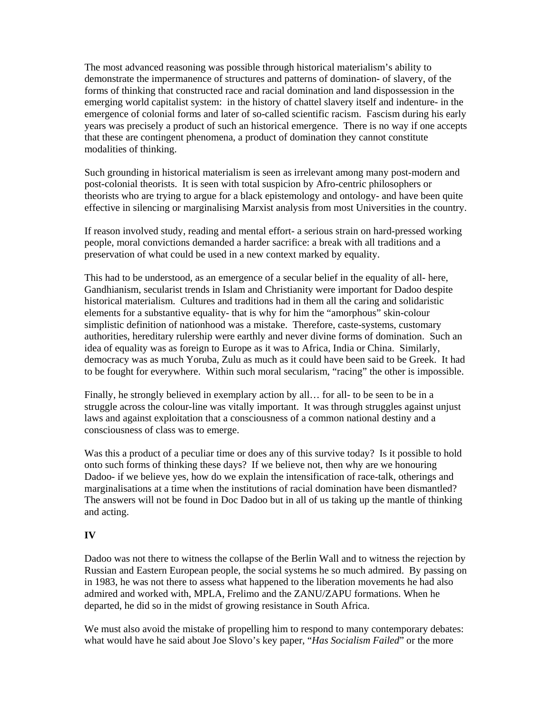The most advanced reasoning was possible through historical materialism's ability to demonstrate the impermanence of structures and patterns of domination- of slavery, of the forms of thinking that constructed race and racial domination and land dispossession in the emerging world capitalist system: in the history of chattel slavery itself and indenture- in the emergence of colonial forms and later of so-called scientific racism. Fascism during his early years was precisely a product of such an historical emergence. There is no way if one accepts that these are contingent phenomena, a product of domination they cannot constitute modalities of thinking.

Such grounding in historical materialism is seen as irrelevant among many post-modern and post-colonial theorists. It is seen with total suspicion by Afro-centric philosophers or theorists who are trying to argue for a black epistemology and ontology- and have been quite effective in silencing or marginalising Marxist analysis from most Universities in the country.

If reason involved study, reading and mental effort- a serious strain on hard-pressed working people, moral convictions demanded a harder sacrifice: a break with all traditions and a preservation of what could be used in a new context marked by equality.

This had to be understood, as an emergence of a secular belief in the equality of all- here, Gandhianism, secularist trends in Islam and Christianity were important for Dadoo despite historical materialism. Cultures and traditions had in them all the caring and solidaristic elements for a substantive equality- that is why for him the "amorphous" skin-colour simplistic definition of nationhood was a mistake. Therefore, caste-systems, customary authorities, hereditary rulership were earthly and never divine forms of domination. Such an idea of equality was as foreign to Europe as it was to Africa, India or China. Similarly, democracy was as much Yoruba, Zulu as much as it could have been said to be Greek. It had to be fought for everywhere. Within such moral secularism, "racing" the other is impossible.

Finally, he strongly believed in exemplary action by all… for all- to be seen to be in a struggle across the colour-line was vitally important. It was through struggles against unjust laws and against exploitation that a consciousness of a common national destiny and a consciousness of class was to emerge.

Was this a product of a peculiar time or does any of this survive today? Is it possible to hold onto such forms of thinking these days? If we believe not, then why are we honouring Dadoo- if we believe yes, how do we explain the intensification of race-talk, otherings and marginalisations at a time when the institutions of racial domination have been dismantled? The answers will not be found in Doc Dadoo but in all of us taking up the mantle of thinking and acting.

#### **IV**

Dadoo was not there to witness the collapse of the Berlin Wall and to witness the rejection by Russian and Eastern European people, the social systems he so much admired. By passing on in 1983, he was not there to assess what happened to the liberation movements he had also admired and worked with, MPLA, Frelimo and the ZANU/ZAPU formations. When he departed, he did so in the midst of growing resistance in South Africa.

We must also avoid the mistake of propelling him to respond to many contemporary debates: what would have he said about Joe Slovo's key paper, "*Has Socialism Failed*" or the more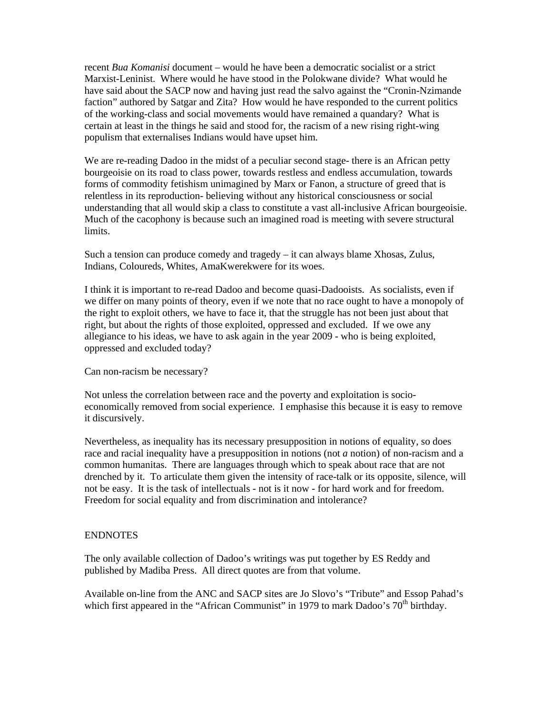recent *Bua Komanisi* document – would he have been a democratic socialist or a strict Marxist-Leninist. Where would he have stood in the Polokwane divide? What would he have said about the SACP now and having just read the salvo against the "Cronin-Nzimande faction" authored by Satgar and Zita? How would he have responded to the current politics of the working-class and social movements would have remained a quandary? What is certain at least in the things he said and stood for, the racism of a new rising right-wing populism that externalises Indians would have upset him.

We are re-reading Dadoo in the midst of a peculiar second stage- there is an African petty bourgeoisie on its road to class power, towards restless and endless accumulation, towards forms of commodity fetishism unimagined by Marx or Fanon, a structure of greed that is relentless in its reproduction- believing without any historical consciousness or social understanding that all would skip a class to constitute a vast all-inclusive African bourgeoisie. Much of the cacophony is because such an imagined road is meeting with severe structural limits.

Such a tension can produce comedy and tragedy – it can always blame Xhosas, Zulus, Indians, Coloureds, Whites, AmaKwerekwere for its woes.

I think it is important to re-read Dadoo and become quasi-Dadooists. As socialists, even if we differ on many points of theory, even if we note that no race ought to have a monopoly of the right to exploit others, we have to face it, that the struggle has not been just about that right, but about the rights of those exploited, oppressed and excluded. If we owe any allegiance to his ideas, we have to ask again in the year 2009 - who is being exploited, oppressed and excluded today?

Can non-racism be necessary?

Not unless the correlation between race and the poverty and exploitation is socioeconomically removed from social experience. I emphasise this because it is easy to remove it discursively.

Nevertheless, as inequality has its necessary presupposition in notions of equality, so does race and racial inequality have a presupposition in notions (not *a* notion) of non-racism and a common humanitas. There are languages through which to speak about race that are not drenched by it. To articulate them given the intensity of race-talk or its opposite, silence, will not be easy. It is the task of intellectuals - not is it now - for hard work and for freedom. Freedom for social equality and from discrimination and intolerance?

#### ENDNOTES

The only available collection of Dadoo's writings was put together by ES Reddy and published by Madiba Press. All direct quotes are from that volume.

Available on-line from the ANC and SACP sites are Jo Slovo's "Tribute" and Essop Pahad's which first appeared in the "African Communist" in 1979 to mark Dadoo's  $70<sup>th</sup>$  birthday.